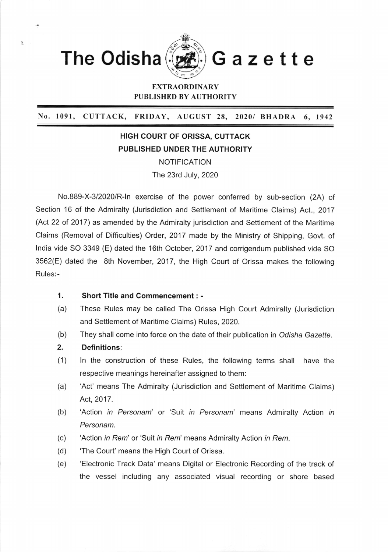

## EXTRAORDINARY PUBLISHED BY AUTHORITY

No. 1091, CUTTACK, FRIDAY, AUGUST 28, 20201 BHADRA 6, <sup>1942</sup>

## HIGH COURT OF ORISSA, CUTTACK PUBLISHED UNDER THE AUTHORITY

NOTIFICATION The 23rd July,2020

No.889-X-3/2020/R-ln exercise of the power conferred by sub-section (2A) of Section 16 of the Admiralty (Jurisdiction and Settlement of Maritime Claims) Act., 2017 (Act 22 of 2017) as amended by the Admiralty jurisdiction and Settlement of the Maritime Claims (Removal of Difficulties) Order,2017 made by the Ministry of Shipping, Govt. of lndia vide SO 3349 (E) dated the 16th October, 2017 and corrigendum published vide SO 3562(E) dated the 8th November, 2017, the High Court of Orissa makes the following Rules:-

## Short Title and Gommencement : - 1.

- These Rules may be called The Orissa High Court Admiralty (Jurisdiction and Settlement of Maritime Claims) Rules, 2020. (a)
- They shall come into force on the date of their publication in Odisha Gazette. (b)
- Definitions: 2.
- ln the construction of these Rules, the following terms shall have the respective meanings hereinafter assigned to them:  $(1)$
- 'Act' means The Admiralty (Jurisdiction and Settlement of Maritime Claims) Act. 2017. (a)
- 'Action in Personam' or 'Suit in Personam' means Admiralty Action in Personam. (b)
- 'Action in Rem' or 'Suit in Rem' means Admiralty Action in Rem. (c)
- 'The Court'means the High Court of Orissa. (d)
- 'Electronic Track Data' means Digital or Electronic Recording of the track of the vessel including any associated visual recording or shore based (e)